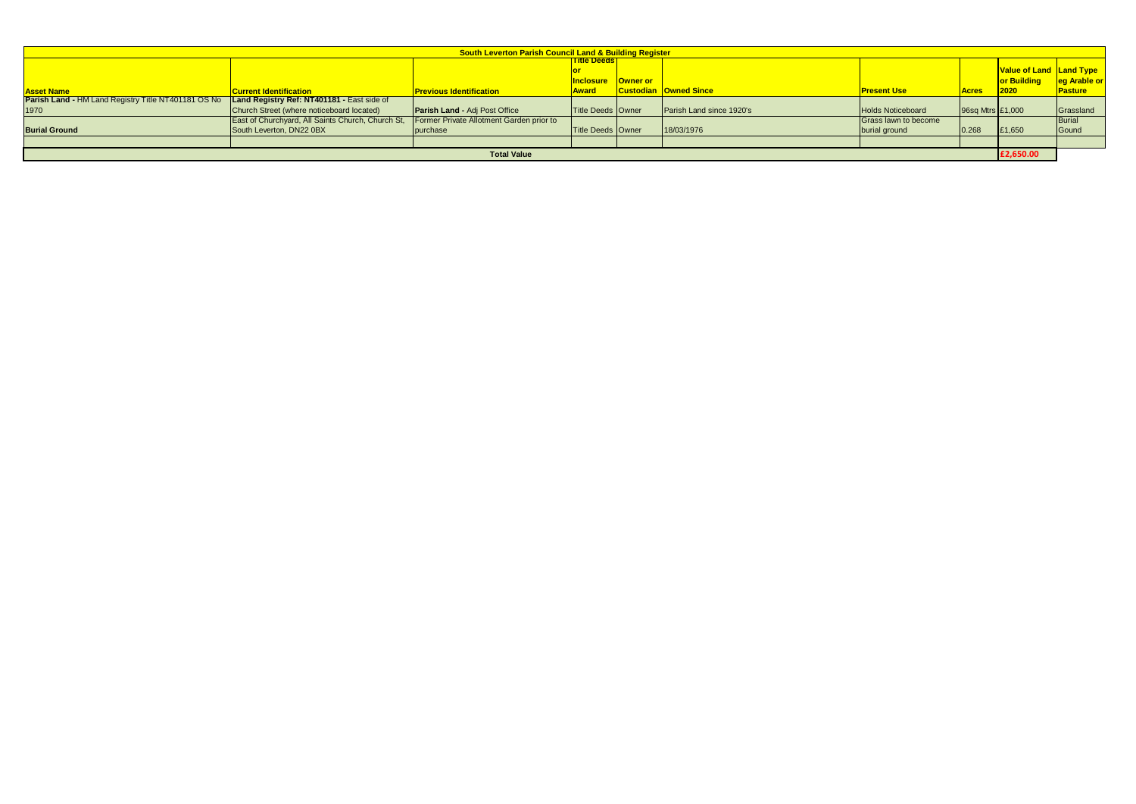| <b>South Leverton Parish Council Land &amp; Building Register</b> |                                                   |                                          |                             |  |                              |                          |                  |                                |                |  |  |  |
|-------------------------------------------------------------------|---------------------------------------------------|------------------------------------------|-----------------------------|--|------------------------------|--------------------------|------------------|--------------------------------|----------------|--|--|--|
|                                                                   |                                                   |                                          | <u><b>Title Deeds I</b></u> |  |                              |                          |                  |                                |                |  |  |  |
|                                                                   |                                                   |                                          |                             |  |                              |                          |                  | <b>Value of Land Land Type</b> |                |  |  |  |
|                                                                   |                                                   |                                          | <b>Inclosure Owner or</b>   |  |                              |                          |                  | <b>or Building</b>             | eg Arable or   |  |  |  |
| <b>Asset Name</b>                                                 | <b>Current Identification</b>                     | <b>Previous Identification</b>           | <b>Award</b>                |  | <b>Custodian Owned Since</b> | <b>Present Use</b>       | <b>Acres</b>     | 2020                           | <b>Pasture</b> |  |  |  |
| <b>Parish Land - HM Land Registry Title NT401181 OS No</b>        | Land Registry Ref: NT401181 - East side of        |                                          |                             |  |                              |                          |                  |                                |                |  |  |  |
| 1970                                                              | Church Street (where noticeboard located)         | <b>Parish Land - Adj Post Office</b>     | Title Deeds Owner           |  | Parish Land since 1920's     | <b>Holds Noticeboard</b> | 96sq Mtrs £1,000 |                                | Grassland      |  |  |  |
|                                                                   | East of Churchyard, All Saints Church, Church St, | Former Private Allotment Garden prior to |                             |  |                              | Grass lawn to become     |                  |                                | Burial         |  |  |  |
| <b>Burial Ground</b>                                              | South Leverton, DN22 0BX                          | purchase                                 | Title Deeds Owner           |  | 18/03/1976                   | burial ground            | 0.268            | £1,650                         | Gound          |  |  |  |
|                                                                   |                                                   |                                          |                             |  |                              |                          |                  |                                |                |  |  |  |
| <b>Total Value</b>                                                |                                                   |                                          |                             |  |                              |                          |                  |                                |                |  |  |  |